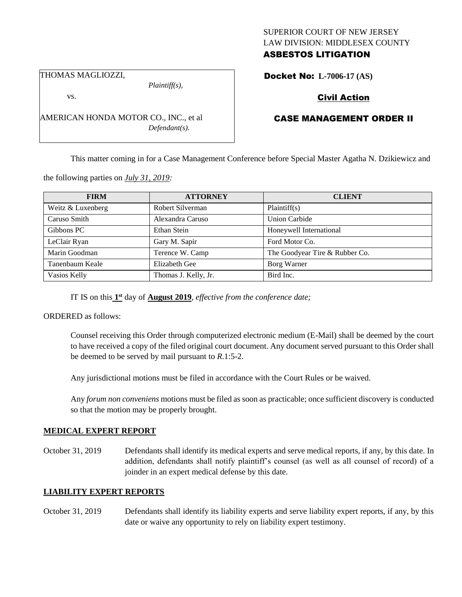### SUPERIOR COURT OF NEW JERSEY LAW DIVISION: MIDDLESEX COUNTY ASBESTOS LITIGATION

THOMAS MAGLIOZZI,

*Plaintiff(s),*

vs.

AMERICAN HONDA MOTOR CO., INC., et al *Defendant(s).*

## Docket No: **L-7006-17 (AS)**

# Civil Action

## CASE MANAGEMENT ORDER II

This matter coming in for a Case Management Conference before Special Master Agatha N. Dzikiewicz and

the following parties on *July 31, 2019:*

| <b>FIRM</b>       | <b>ATTORNEY</b>      | <b>CLIENT</b>                  |
|-------------------|----------------------|--------------------------------|
| Weitz & Luxenberg | Robert Silverman     | Plaintiff(s)                   |
| Caruso Smith      | Alexandra Caruso     | <b>Union Carbide</b>           |
| Gibbons PC        | Ethan Stein          | Honeywell International        |
| LeClair Ryan      | Gary M. Sapir        | Ford Motor Co.                 |
| Marin Goodman     | Terence W. Camp      | The Goodyear Tire & Rubber Co. |
| Tanenbaum Keale   | Elizabeth Gee        | Borg Warner                    |
| Vasios Kelly      | Thomas J. Kelly, Jr. | Bird Inc.                      |

IT IS on this **1 st** day of **August 2019**, *effective from the conference date;*

ORDERED as follows:

Counsel receiving this Order through computerized electronic medium (E-Mail) shall be deemed by the court to have received a copy of the filed original court document. Any document served pursuant to this Order shall be deemed to be served by mail pursuant to *R*.1:5-2.

Any jurisdictional motions must be filed in accordance with the Court Rules or be waived.

Any *forum non conveniens* motions must be filed as soon as practicable; once sufficient discovery is conducted so that the motion may be properly brought.

#### **MEDICAL EXPERT REPORT**

October 31, 2019 Defendants shall identify its medical experts and serve medical reports, if any, by this date. In addition, defendants shall notify plaintiff's counsel (as well as all counsel of record) of a joinder in an expert medical defense by this date.

## **LIABILITY EXPERT REPORTS**

October 31, 2019 Defendants shall identify its liability experts and serve liability expert reports, if any, by this date or waive any opportunity to rely on liability expert testimony.